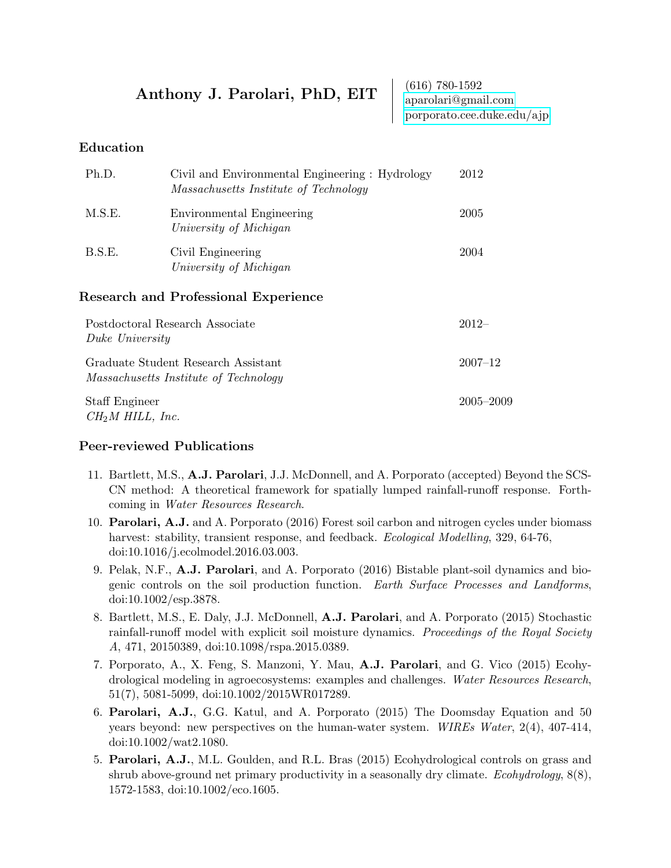# Anthony J. Parolari, PhD, EIT (616) 780-1592

[aparolari@gmail.com](mailto:aparolari@gmail.com) [porporato.cee.duke.edu/ajp](http://porporato.cee.duke.edu/ajp)

#### Education

| Ph.D.                                                                               | Civil and Environmental Engineering : Hydrology<br>Massachusetts Institute of Technology | 2012        |
|-------------------------------------------------------------------------------------|------------------------------------------------------------------------------------------|-------------|
| M.S.E.                                                                              | Environmental Engineering<br>University of Michigan                                      | 2005        |
| B.S.E.                                                                              | Civil Engineering<br>University of Michigan                                              | 2004        |
|                                                                                     | Research and Professional Experience                                                     |             |
| Postdoctoral Research Associate<br>Duke University                                  |                                                                                          | $2012-$     |
| Graduate Student Research Assistant<br><i>Massachusetts Institute of Technology</i> |                                                                                          | $2007 - 12$ |

Staff Engineer 2005–2009  $CH<sub>2</sub>M HILL, Inc.$ 

#### Peer-reviewed Publications

- 11. Bartlett, M.S., A.J. Parolari, J.J. McDonnell, and A. Porporato (accepted) Beyond the SCS-CN method: A theoretical framework for spatially lumped rainfall-runoff response. Forthcoming in Water Resources Research.
- 10. Parolari, A.J. and A. Porporato (2016) Forest soil carbon and nitrogen cycles under biomass harvest: stability, transient response, and feedback. Ecological Modelling, 329, 64-76, doi:10.1016/j.ecolmodel.2016.03.003.
- 9. Pelak, N.F., A.J. Parolari, and A. Porporato (2016) Bistable plant-soil dynamics and biogenic controls on the soil production function. Earth Surface Processes and Landforms, doi:10.1002/esp.3878.
- 8. Bartlett, M.S., E. Daly, J.J. McDonnell, A.J. Parolari, and A. Porporato (2015) Stochastic rainfall-runoff model with explicit soil moisture dynamics. Proceedings of the Royal Society A, 471, 20150389, doi:10.1098/rspa.2015.0389.
- 7. Porporato, A., X. Feng, S. Manzoni, Y. Mau, A.J. Parolari, and G. Vico (2015) Ecohydrological modeling in agroecosystems: examples and challenges. Water Resources Research, 51(7), 5081-5099, doi:10.1002/2015WR017289.
- 6. Parolari, A.J., G.G. Katul, and A. Porporato (2015) The Doomsday Equation and 50 years beyond: new perspectives on the human-water system. WIREs Water, 2(4), 407-414, doi:10.1002/wat2.1080.
- 5. Parolari, A.J., M.L. Goulden, and R.L. Bras (2015) Ecohydrological controls on grass and shrub above-ground net primary productivity in a seasonally dry climate. Ecohydrology,  $8(8)$ , 1572-1583, doi:10.1002/eco.1605.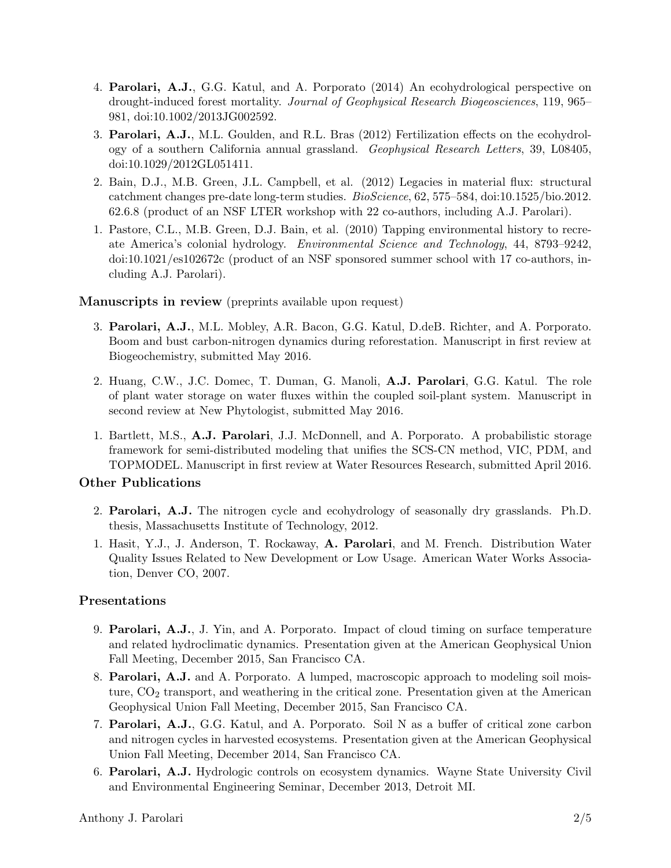- 4. Parolari, A.J., G.G. Katul, and A. Porporato (2014) An ecohydrological perspective on drought-induced forest mortality. Journal of Geophysical Research Biogeosciences, 119, 965– 981, doi:10.1002/2013JG002592.
- 3. Parolari, A.J., M.L. Goulden, and R.L. Bras (2012) Fertilization effects on the ecohydrology of a southern California annual grassland. Geophysical Research Letters, 39, L08405, doi:10.1029/2012GL051411.
- 2. Bain, D.J., M.B. Green, J.L. Campbell, et al. (2012) Legacies in material flux: structural catchment changes pre-date long-term studies. BioScience, 62, 575–584, doi:10.1525/bio.2012. 62.6.8 (product of an NSF LTER workshop with 22 co-authors, including A.J. Parolari).
- 1. Pastore, C.L., M.B. Green, D.J. Bain, et al. (2010) Tapping environmental history to recreate America's colonial hydrology. Environmental Science and Technology, 44, 8793–9242, doi:10.1021/es102672c (product of an NSF sponsored summer school with 17 co-authors, including A.J. Parolari).

#### Manuscripts in review (preprints available upon request)

- 3. Parolari, A.J., M.L. Mobley, A.R. Bacon, G.G. Katul, D.deB. Richter, and A. Porporato. Boom and bust carbon-nitrogen dynamics during reforestation. Manuscript in first review at Biogeochemistry, submitted May 2016.
- 2. Huang, C.W., J.C. Domec, T. Duman, G. Manoli, A.J. Parolari, G.G. Katul. The role of plant water storage on water fluxes within the coupled soil-plant system. Manuscript in second review at New Phytologist, submitted May 2016.
- 1. Bartlett, M.S., A.J. Parolari, J.J. McDonnell, and A. Porporato. A probabilistic storage framework for semi-distributed modeling that unifies the SCS-CN method, VIC, PDM, and TOPMODEL. Manuscript in first review at Water Resources Research, submitted April 2016.

#### Other Publications

- 2. Parolari, A.J. The nitrogen cycle and ecohydrology of seasonally dry grasslands. Ph.D. thesis, Massachusetts Institute of Technology, 2012.
- 1. Hasit, Y.J., J. Anderson, T. Rockaway, A. Parolari, and M. French. Distribution Water Quality Issues Related to New Development or Low Usage. American Water Works Association, Denver CO, 2007.

#### Presentations

- 9. Parolari, A.J., J. Yin, and A. Porporato. Impact of cloud timing on surface temperature and related hydroclimatic dynamics. Presentation given at the American Geophysical Union Fall Meeting, December 2015, San Francisco CA.
- 8. Parolari, A.J. and A. Porporato. A lumped, macroscopic approach to modeling soil moisture,  $CO<sub>2</sub>$  transport, and weathering in the critical zone. Presentation given at the American Geophysical Union Fall Meeting, December 2015, San Francisco CA.
- 7. Parolari, A.J., G.G. Katul, and A. Porporato. Soil N as a buffer of critical zone carbon and nitrogen cycles in harvested ecosystems. Presentation given at the American Geophysical Union Fall Meeting, December 2014, San Francisco CA.
- 6. Parolari, A.J. Hydrologic controls on ecosystem dynamics. Wayne State University Civil and Environmental Engineering Seminar, December 2013, Detroit MI.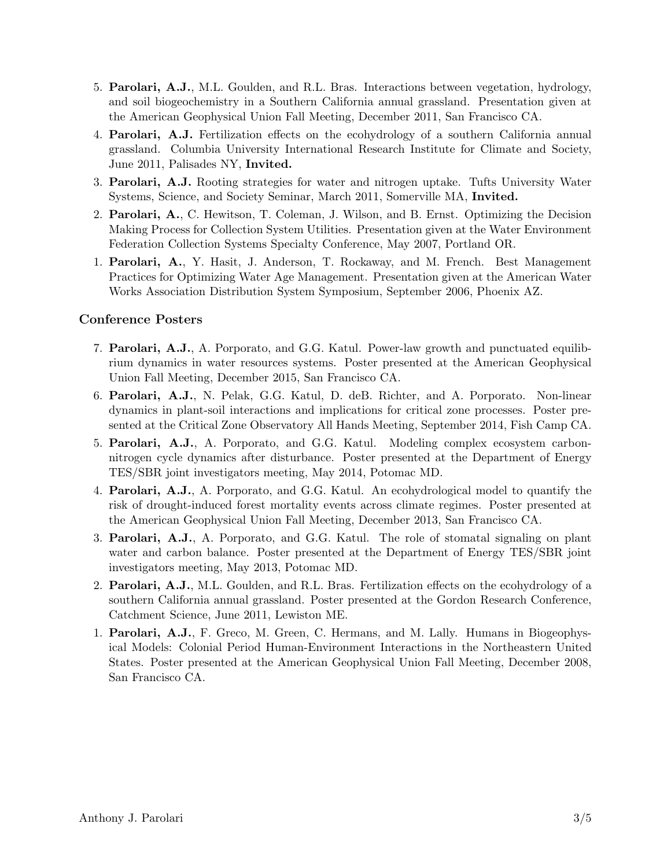- 5. Parolari, A.J., M.L. Goulden, and R.L. Bras. Interactions between vegetation, hydrology, and soil biogeochemistry in a Southern California annual grassland. Presentation given at the American Geophysical Union Fall Meeting, December 2011, San Francisco CA.
- 4. Parolari, A.J. Fertilization effects on the ecohydrology of a southern California annual grassland. Columbia University International Research Institute for Climate and Society, June 2011, Palisades NY, Invited.
- 3. Parolari, A.J. Rooting strategies for water and nitrogen uptake. Tufts University Water Systems, Science, and Society Seminar, March 2011, Somerville MA, Invited.
- 2. Parolari, A., C. Hewitson, T. Coleman, J. Wilson, and B. Ernst. Optimizing the Decision Making Process for Collection System Utilities. Presentation given at the Water Environment Federation Collection Systems Specialty Conference, May 2007, Portland OR.
- 1. Parolari, A., Y. Hasit, J. Anderson, T. Rockaway, and M. French. Best Management Practices for Optimizing Water Age Management. Presentation given at the American Water Works Association Distribution System Symposium, September 2006, Phoenix AZ.

#### Conference Posters

- 7. Parolari, A.J., A. Porporato, and G.G. Katul. Power-law growth and punctuated equilibrium dynamics in water resources systems. Poster presented at the American Geophysical Union Fall Meeting, December 2015, San Francisco CA.
- 6. Parolari, A.J., N. Pelak, G.G. Katul, D. deB. Richter, and A. Porporato. Non-linear dynamics in plant-soil interactions and implications for critical zone processes. Poster presented at the Critical Zone Observatory All Hands Meeting, September 2014, Fish Camp CA.
- 5. Parolari, A.J., A. Porporato, and G.G. Katul. Modeling complex ecosystem carbonnitrogen cycle dynamics after disturbance. Poster presented at the Department of Energy TES/SBR joint investigators meeting, May 2014, Potomac MD.
- 4. Parolari, A.J., A. Porporato, and G.G. Katul. An ecohydrological model to quantify the risk of drought-induced forest mortality events across climate regimes. Poster presented at the American Geophysical Union Fall Meeting, December 2013, San Francisco CA.
- 3. Parolari, A.J., A. Porporato, and G.G. Katul. The role of stomatal signaling on plant water and carbon balance. Poster presented at the Department of Energy TES/SBR joint investigators meeting, May 2013, Potomac MD.
- 2. Parolari, A.J., M.L. Goulden, and R.L. Bras. Fertilization effects on the ecohydrology of a southern California annual grassland. Poster presented at the Gordon Research Conference, Catchment Science, June 2011, Lewiston ME.
- 1. Parolari, A.J., F. Greco, M. Green, C. Hermans, and M. Lally. Humans in Biogeophysical Models: Colonial Period Human-Environment Interactions in the Northeastern United States. Poster presented at the American Geophysical Union Fall Meeting, December 2008, San Francisco CA.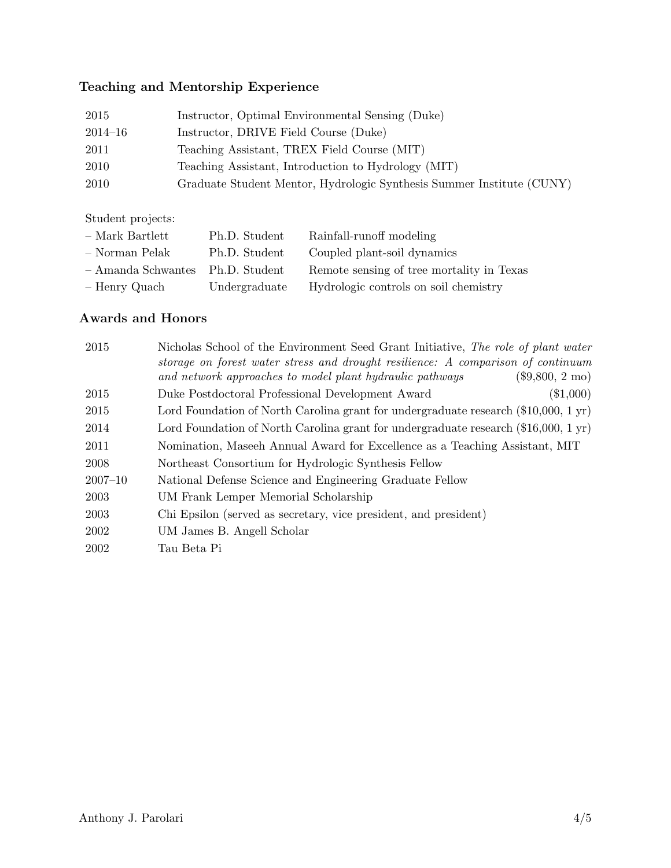# Teaching and Mentorship Experience

| 2015        | Instructor, Optimal Environmental Sensing (Duke)                      |
|-------------|-----------------------------------------------------------------------|
| $2014 - 16$ | Instructor, DRIVE Field Course (Duke)                                 |
| 2011        | Teaching Assistant, TREX Field Course (MIT)                           |
| 2010        | Teaching Assistant, Introduction to Hydrology (MIT)                   |
| 2010        | Graduate Student Mentor, Hydrologic Synthesis Summer Institute (CUNY) |

Student projects:

| $-$ Mark Bartlett    | Ph.D. Student | Rainfall-runoff modeling                  |
|----------------------|---------------|-------------------------------------------|
| - Norman Pelak       | Ph.D. Student | Coupled plant-soil dynamics               |
| $-$ Amanda Schwantes | Ph.D. Student | Remote sensing of tree mortality in Texas |
| - Henry Quach        | Undergraduate | Hydrologic controls on soil chemistry     |

### Awards and Honors

| 2015        | Nicholas School of the Environment Seed Grant Initiative, The role of plant water<br>storage on forest water stress and drought resilience: A comparison of continuum |
|-------------|-----------------------------------------------------------------------------------------------------------------------------------------------------------------------|
|             | and network approaches to model plant hydraulic pathways<br>$(\$9,800, 2 \text{ mo})$                                                                                 |
| 2015        | $(\$1,000)$<br>Duke Postdoctoral Professional Development Award                                                                                                       |
| 2015        | Lord Foundation of North Carolina grant for undergraduate research $(\$10,000, 1 \text{ yr})$                                                                         |
| 2014        | Lord Foundation of North Carolina grant for undergraduate research $(\$16,000, 1 \text{ yr})$                                                                         |
| 2011        | Nomination, Maseeh Annual Award for Excellence as a Teaching Assistant, MIT                                                                                           |
| <b>2008</b> | Northeast Consortium for Hydrologic Synthesis Fellow                                                                                                                  |
| $2007 - 10$ | National Defense Science and Engineering Graduate Fellow                                                                                                              |
| 2003        | UM Frank Lemper Memorial Scholarship                                                                                                                                  |
| 2003        | Chi Epsilon (served as secretary, vice president, and president)                                                                                                      |
| 2002        | UM James B. Angell Scholar                                                                                                                                            |
| 2002        | Tau Beta Pi                                                                                                                                                           |